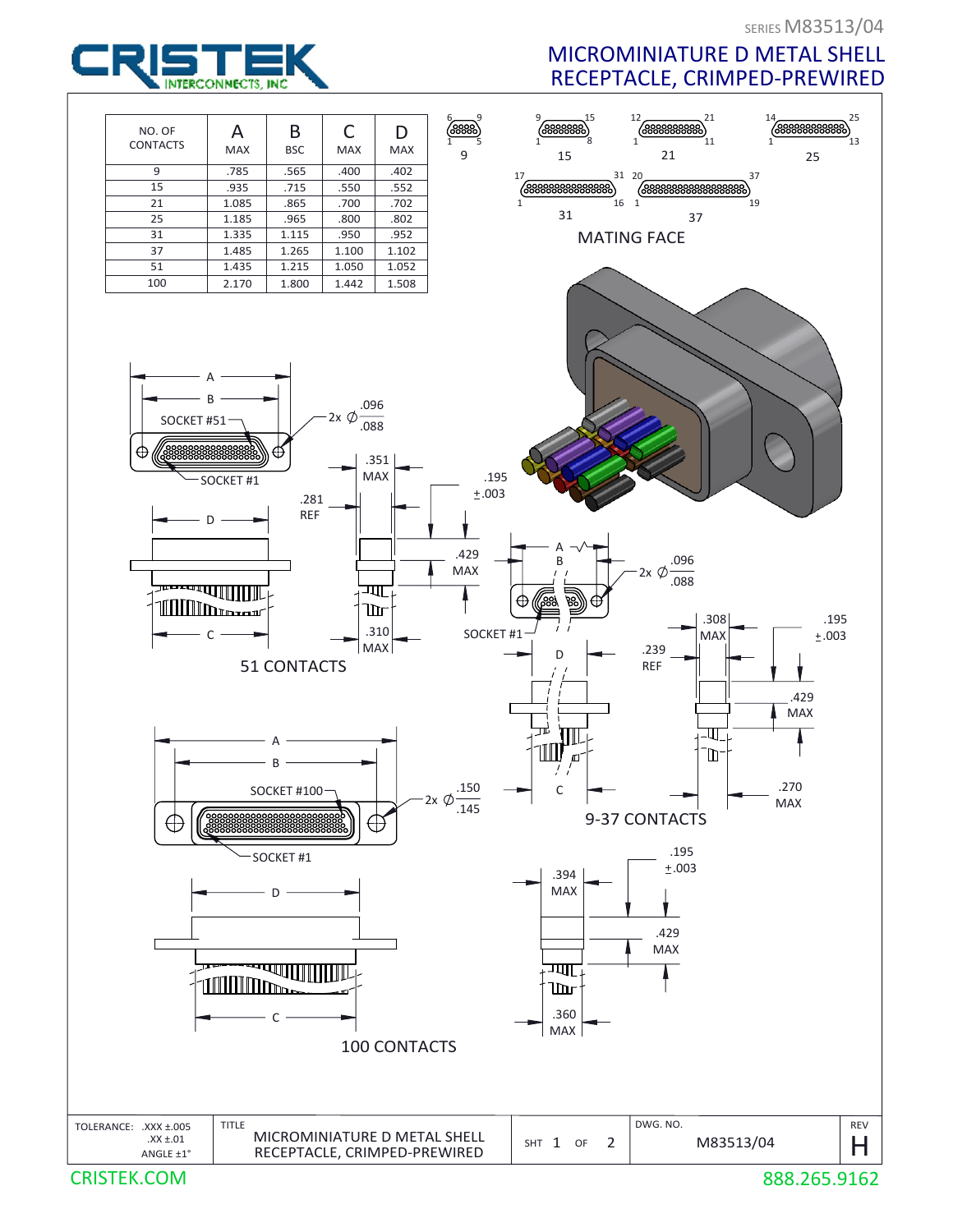

## MICROMINIATURE D METAL SHELL RECEPTACLE, CRIMPED-PREWIRED



888.265.9162